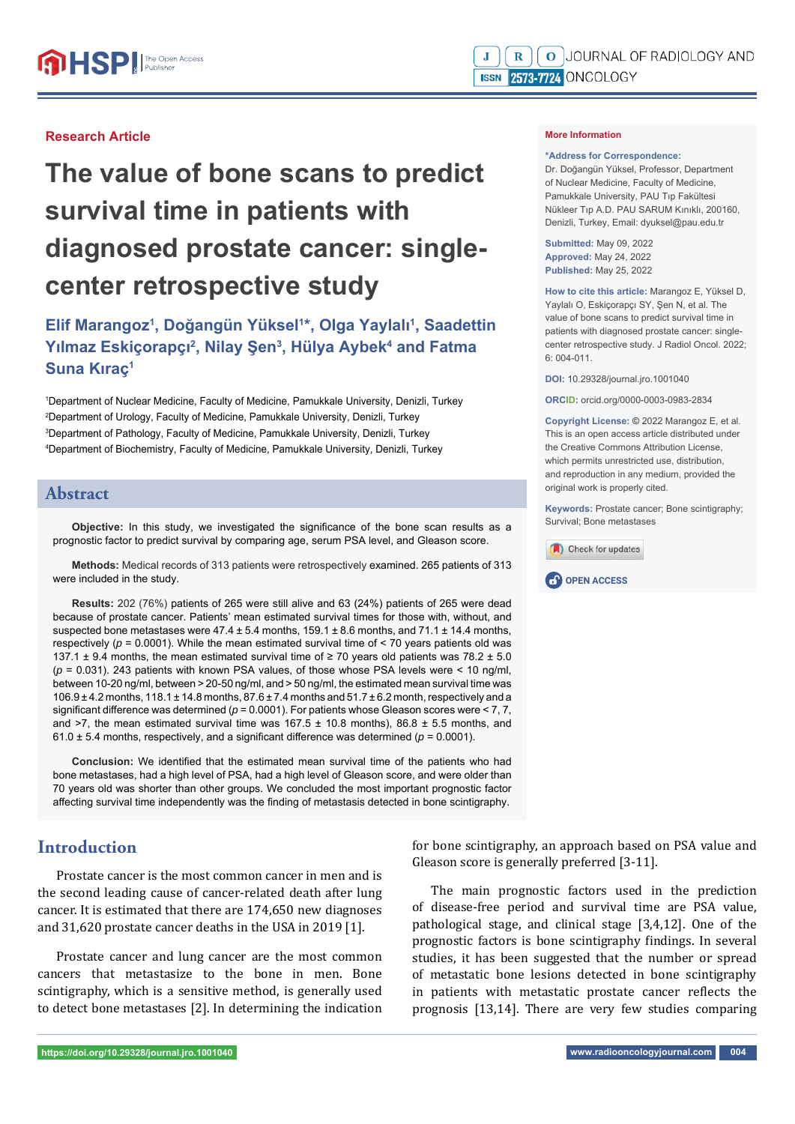#### **Research Article**

# **The value of bone scans to predict survival time in patients with diagnosed prostate cancer: singlecenter retrospective study**

# **Elif Marangoz1 , Doğangün Yüksel1 \*, Olga Yaylalı1 , Saadettin**  Yılmaz Eskiçorapçı<sup>2</sup>, Nilay Şen<sup>3</sup>, Hülya Aybek<sup>4</sup> and Fatma **Suna Kıraç1**

 Department of Nuclear Medicine, Faculty of Medicine, Pamukkale University, Denizli, Turkey Department of Urology, Faculty of Medicine, Pamukkale University, Denizli, Turkey Department of Pathology, Faculty of Medicine, Pamukkale University, Denizli, Turkey Department of Biochemistry, Faculty of Medicine, Pamukkale University, Denizli, Turkey

#### **Abstract**

Objective: In this study, we investigated the significance of the bone scan results as a prognostic factor to predict survival by comparing age, serum PSA level, and Gleason score.

**Methods:** Medical records of 313 patients were retrospectively examined. 265 patients of 313 were included in the study.

**Results:** 202 (76%) patients of 265 were still alive and 63 (24%) patients of 265 were dead because of prostate cancer. Patients' mean estimated survival times for those with, without, and suspected bone metastases were  $47.4 \pm 5.4$  months,  $159.1 \pm 8.6$  months, and  $71.1 \pm 14.4$  months, respectively ( $p = 0.0001$ ). While the mean estimated survival time of < 70 years patients old was 137.1  $\pm$  9.4 months, the mean estimated survival time of  $\geq$  70 years old patients was 78.2  $\pm$  5.0  $(p = 0.031)$ . 243 patients with known PSA values, of those whose PSA levels were < 10 ng/ml, between 10-20 ng/ml, between > 20-50 ng/ml, and > 50 ng/ml, the estimated mean survival time was  $106.9 \pm 4.2$  months,  $118.1 \pm 14.8$  months,  $87.6 \pm 7.4$  months and  $51.7 \pm 6.2$  month, respectively and a significant difference was determined ( $p = 0.0001$ ). For patients whose Gleason scores were < 7, 7, and >7, the mean estimated survival time was  $167.5 \pm 10.8$  months),  $86.8 \pm 5.5$  months, and 61.0  $\pm$  5.4 months, respectively, and a significant difference was determined ( $p$  = 0.0001).

**Conclusion:** We identified that the estimated mean survival time of the patients who had bone metastases, had a high level of PSA, had a high level of Gleason score, and were older than 70 years old was shorter than other groups. We concluded the most important prognostic factor affecting survival time independently was the finding of metastasis detected in bone scintigraphy.

## **Introduction**

Prostate cancer is the most common cancer in men and is the second leading cause of cancer-related death after lung cancer. It is estimated that there are 174,650 new diagnoses and 31,620 prostate cancer deaths in the USA in 2019 [1].

Prostate cancer and lung cancer are the most common cancers that metastasize to the bone in men. Bone scintigraphy, which is a sensitive method, is generally used to detect bone metastases [2]. In determining the indication

**\*Address for Correspondence:**  Dr. Doğangün Yüksel, Professor, Department of Nuclear Medicine, Faculty of Medicine, Pamukkale University, PAU Tıp Fakültesi Nükleer Tıp A.D. PAU SARUM Kınıklı, 200160, Denizli, Turkey, Email: dyuksel@pau.edu.tr

**Submitted:** May 09, 2022 **Approved:** May 24, 2022 **Published:** May 25, 2022

**More Information** 

**How to cite this article:** Marangoz E, Yüksel D, Yaylalı O, Eskiçorapçı SY, Şen N, et al. The value of bone scans to predict survival time in patients with diagnosed prostate cancer: singlecenter retrospective study. J Radiol Oncol. 2022; 6: 004-011.

**DOI:** 10.29328/journal.jro.1001040

**ORCID:** orcid.org/0000-0003-0983-2834

**Copyright License: ©** 2022 Marangoz E, et al. This is an open access article distributed under the Creative Commons Attribution License, which permits unrestricted use, distribution, and reproduction in any medium, provided the original work is properly cited.

**Keywords:** Prostate cancer; Bone scintigraphy; Survival; Bone metastases





for bone scintigraphy, an approach based on PSA value and Gleason score is generally preferred [3-11].

The main prognostic factors used in the prediction of disease-free period and survival time are PSA value, pathological stage, and clinical stage [3,4,12]. One of the prognostic factors is bone scintigraphy findings. In several studies, it has been suggested that the number or spread of metastatic bone lesions detected in bone scintigraphy in patients with metastatic prostate cancer reflects the prognosis [13,14]. There are very few studies comparing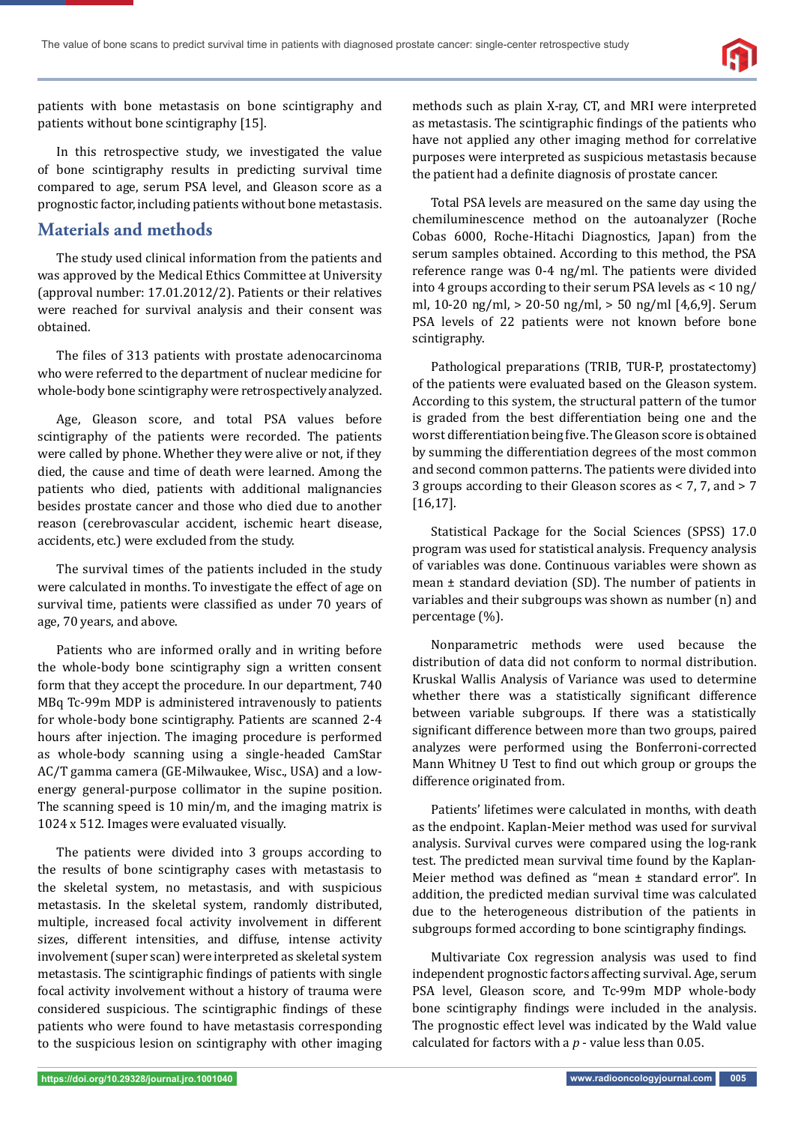

patients with bone metastasis on bone scintigraphy and patients without bone scintigraphy [15].

In this retrospective study, we investigated the value of bone scintigraphy results in predicting survival time compared to age, serum PSA level, and Gleason score as a prognostic factor, including patients without bone metastasis.

#### **Materials and methods**

The study used clinical information from the patients and was approved by the Medical Ethics Committee at University (approval number: 17.01.2012/2). Patients or their relatives were reached for survival analysis and their consent was obtained.

The files of 313 patients with prostate adenocarcinoma who were referred to the department of nuclear medicine for whole-body bone scintigraphy were retrospectively analyzed.

Age, Gleason score, and total PSA values before scintigraphy of the patients were recorded. The patients were called by phone. Whether they were alive or not, if they died, the cause and time of death were learned. Among the patients who died, patients with additional malignancies besides prostate cancer and those who died due to another reason (cerebrovascular accident, ischemic heart disease, accidents, etc.) were excluded from the study.

The survival times of the patients included in the study were calculated in months. To investigate the effect of age on survival time, patients were classified as under 70 years of age, 70 years, and above.

Patients who are informed orally and in writing before the whole-body bone scintigraphy sign a written consent form that they accept the procedure. In our department, 740 MBq Tc-99m MDP is administered intravenously to patients for whole-body bone scintigraphy. Patients are scanned 2-4 hours after injection. The imaging procedure is performed as whole-body scanning using a single-headed CamStar AC/T gamma camera (GE-Milwaukee, Wisc., USA) and a lowenergy general-purpose collimator in the supine position. The scanning speed is 10 min/m, and the imaging matrix is 1024 x 512. Images were evaluated visually.

The patients were divided into 3 groups according to the results of bone scintigraphy cases with metastasis to the skeletal system, no metastasis, and with suspicious metastasis. In the skeletal system, randomly distributed, multiple, increased focal activity involvement in different sizes, different intensities, and diffuse, intense activity involvement (super scan) were interpreted as skeletal system metastasis. The scintigraphic findings of patients with single focal activity involvement without a history of trauma were considered suspicious. The scintigraphic findings of these patients who were found to have metastasis corresponding to the suspicious lesion on scintigraphy with other imaging methods such as plain X-ray, CT, and MRI were interpreted as metastasis. The scintigraphic findings of the patients who have not applied any other imaging method for correlative purposes were interpreted as suspicious metastasis because the patient had a definite diagnosis of prostate cancer.

Total PSA levels are measured on the same day using the chemiluminescence method on the autoanalyzer (Roche Cobas 6000, Roche-Hitachi Diagnostics, Japan) from the serum samples obtained. According to this method, the PSA reference range was 0-4 ng/ml. The patients were divided into 4 groups according to their serum PSA levels as < 10 ng/ ml, 10-20 ng/ml, > 20-50 ng/ml, > 50 ng/ml [4,6,9]. Serum PSA levels of 22 patients were not known before bone scintigraphy.

Pathological preparations (TRIB, TUR-P, prostatectomy) of the patients were evaluated based on the Gleason system. According to this system, the structural pattern of the tumor is graded from the best differentiation being one and the worst differentiation being five. The Gleason score is obtained by summing the differentiation degrees of the most common and second common patterns. The patients were divided into 3 groups according to their Gleason scores as < 7, 7, and > 7 [16,17].

Statistical Package for the Social Sciences (SPSS) 17.0 program was used for statistical analysis. Frequency analysis of variables was done. Continuous variables were shown as mean ± standard deviation (SD). The number of patients in variables and their subgroups was shown as number (n) and percentage (%).

Nonparametric methods were used because the distribution of data did not conform to normal distribution. Kruskal Wallis Analysis of Variance was used to determine whether there was a statistically significant difference between variable subgroups. If there was a statistically significant difference between more than two groups, paired analyzes were performed using the Bonferroni-corrected Mann Whitney U Test to find out which group or groups the difference originated from.

Patients' lifetimes were calculated in months, with death as the endpoint. Kaplan-Meier method was used for survival analysis. Survival curves were compared using the log-rank test. The predicted mean survival time found by the Kaplan-Meier method was defined as "mean ± standard error". In addition, the predicted median survival time was calculated due to the heterogeneous distribution of the patients in subgroups formed according to bone scintigraphy findings.

Multivariate Cox regression analysis was used to find independent prognostic factors affecting survival. Age, serum PSA level, Gleason score, and Tc-99m MDP whole-body bone scintigraphy findings were included in the analysis. The prognostic effect level was indicated by the Wald value calculated for factors with a *p* - value less than 0.05.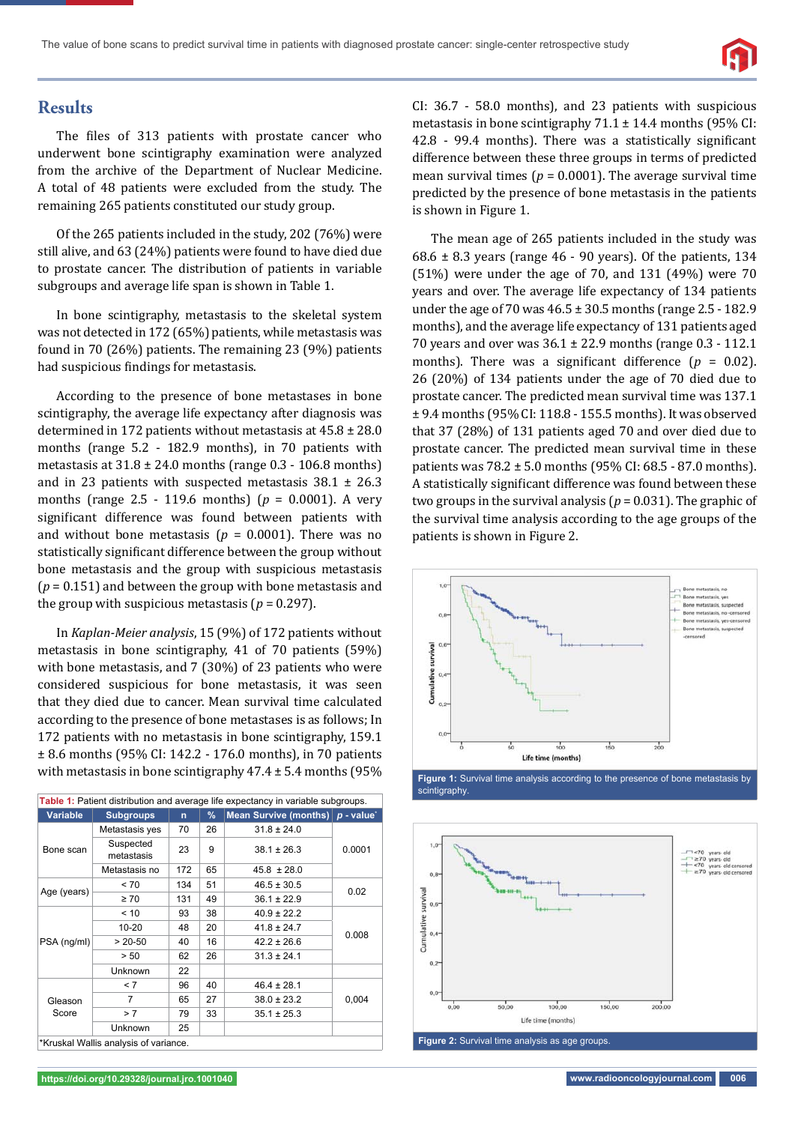

#### **Results**

The files of 313 patients with prostate cancer who underwent bone scintigraphy examination were analyzed from the archive of the Department of Nuclear Medicine. A total of 48 patients were excluded from the study. The remaining 265 patients constituted our study group.

Of the 265 patients included in the study, 202 (76%) were still alive, and 63 (24%) patients were found to have died due to prostate cancer. The distribution of patients in variable subgroups and average life span is shown in Table 1.

In bone scintigraphy, metastasis to the skeletal system was not detected in 172 (65%) patients, while metastasis was found in 70 (26%) patients. The remaining 23 (9%) patients had suspicious findings for metastasis.

According to the presence of bone metastases in bone scintigraphy, the average life expectancy after diagnosis was determined in 172 patients without metastasis at 45.8 ± 28.0 months (range 5.2 - 182.9 months), in 70 patients with metastasis at  $31.8 \pm 24.0$  months (range 0.3 - 106.8 months) and in 23 patients with suspected metastasis  $38.1 \pm 26.3$ months (range 2.5 - 119.6 months) (*p* = 0.0001). A very significant difference was found between patients with and without bone metastasis ( $p = 0.0001$ ). There was no statistically significant difference between the group without bone metastasis and the group with suspicious metastasis (*p* = 0.151) and between the group with bone metastasis and the group with suspicious metastasis ( $p = 0.297$ ).

In *Kaplan-Meier analysis*, 15 (9%) of 172 patients without metastasis in bone scintigraphy, 41 of 70 patients (59%) with bone metastasis, and 7 (30%) of 23 patients who were considered suspicious for bone metastasis, it was seen that they died due to cancer. Mean survival time calculated according to the presence of bone metastases is as follows; In 172 patients with no metastasis in bone scintigraphy, 159.1 ± 8.6 months (95% CI: 142.2 - 176.0 months), in 70 patients with metastasis in bone scintigraphy  $47.4 \pm 5.4$  months (95%)

| Table 1: Patient distribution and average life expectancy in variable subgroups. |                                      |              |    |                              |                       |  |  |  |
|----------------------------------------------------------------------------------|--------------------------------------|--------------|----|------------------------------|-----------------------|--|--|--|
| <b>Variable</b>                                                                  | <b>Subgroups</b>                     | $\mathsf{n}$ | %  | <b>Mean Survive (months)</b> | $p$ - value $\dot{ }$ |  |  |  |
| Bone scan                                                                        | Metastasis yes                       | 70           | 26 | $31.8 \pm 24.0$              | 0.0001                |  |  |  |
|                                                                                  | Suspected<br>metastasis              | 23           | 9  | $38.1 \pm 26.3$              |                       |  |  |  |
|                                                                                  | Metastasis no                        | 172          | 65 | $45.8 \pm 28.0$              |                       |  |  |  |
| Age (years)                                                                      | ~< 70                                | 134          | 51 | $46.5 \pm 30.5$              | 0.02                  |  |  |  |
|                                                                                  | $\geq 70$                            | 131          | 49 | $36.1 \pm 22.9$              |                       |  |  |  |
| PSA (ng/ml)                                                                      | < 10                                 | 93           | 38 | $40.9 \pm 22.2$              | 0.008                 |  |  |  |
|                                                                                  | 10-20                                | 48           | 20 | $41.8 \pm 24.7$              |                       |  |  |  |
|                                                                                  | $> 20-50$                            | 40           | 16 | $42.2 \pm 26.6$              |                       |  |  |  |
|                                                                                  | > 50                                 | 62           | 26 | $31.3 \pm 24.1$              |                       |  |  |  |
|                                                                                  | Unknown                              | 22           |    |                              |                       |  |  |  |
| Gleason<br>Score                                                                 | < 7                                  | 96           | 40 | $46.4 \pm 28.1$              | 0,004                 |  |  |  |
|                                                                                  | 7                                    | 65           | 27 | $38.0 \pm 23.2$              |                       |  |  |  |
|                                                                                  | > 7                                  | 79           | 33 | $35.1 \pm 25.3$              |                       |  |  |  |
|                                                                                  | <b>Unknown</b>                       | 25           |    |                              |                       |  |  |  |
|                                                                                  | *Kruskal Wallis analysis of variance |              |    |                              |                       |  |  |  |

\*Kruskal Wallis analysis of variance.

CI: 36.7 - 58.0 months), and 23 patients with suspicious metastasis in bone scintigraphy  $71.1 \pm 14.4$  months (95% CI:  $42.8$  - 99.4 months). There was a statistically significant difference between these three groups in terms of predicted mean survival times ( $p = 0.0001$ ). The average survival time predicted by the presence of bone metastasis in the patients is shown in Figure 1.

The mean age of 265 patients included in the study was  $68.6 \pm 8.3$  years (range 46 - 90 years). Of the patients, 134 (51%) were under the age of 70, and 131 (49%) were 70 years and over. The average life expectancy of 134 patients under the age of 70 was  $46.5 \pm 30.5$  months (range  $2.5 - 182.9$ ) months), and the average life expectancy of 131 patients aged 70 years and over was 36.1 ± 22.9 months (range 0.3 - 112.1 months). There was a significant difference  $(p = 0.02)$ . 26 (20%) of 134 patients under the age of 70 died due to prostate cancer. The predicted mean survival time was 137.1 ± 9.4 months (95% CI: 118.8 - 155.5 months). It was observed that 37 (28%) of 131 patients aged 70 and over died due to prostate cancer. The predicted mean survival time in these patients was 78.2 ± 5.0 months (95% CI: 68.5 - 87.0 months). A statistically significant difference was found between these two groups in the survival analysis ( $p = 0.031$ ). The graphic of the survival time analysis according to the age groups of the patients is shown in Figure 2.





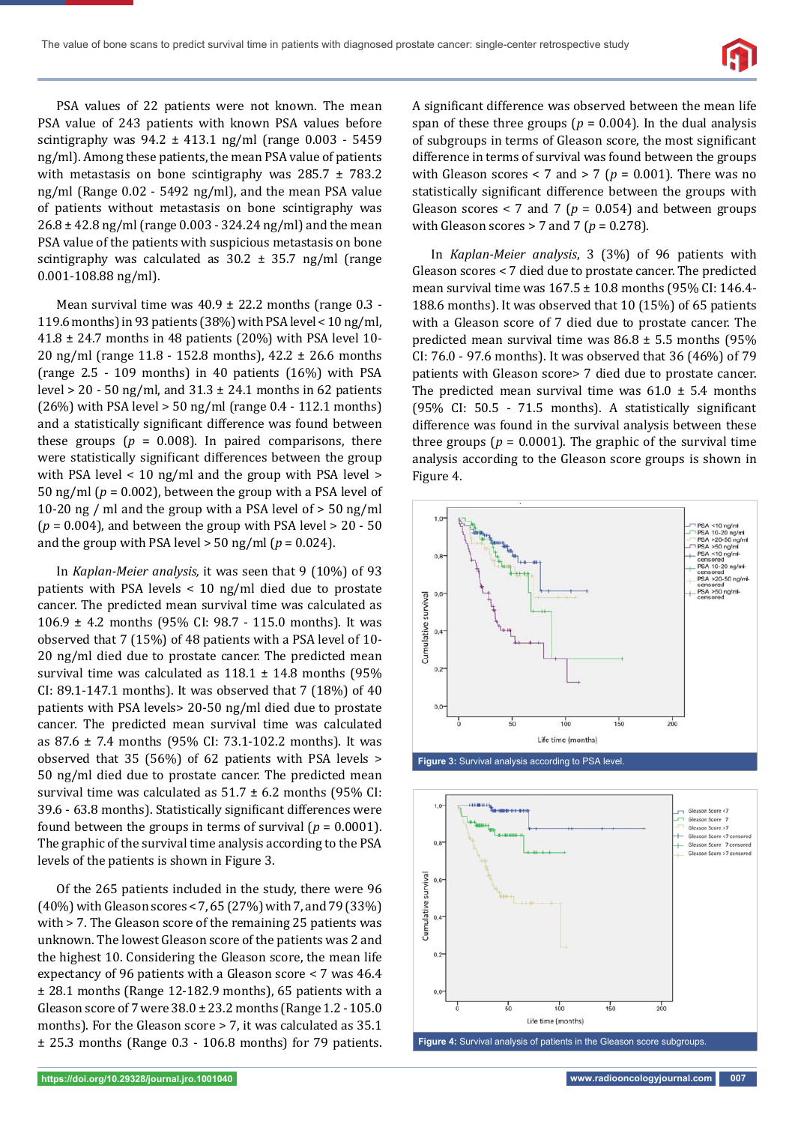

PSA values of 22 patients were not known. The mean PSA value of 243 patients with known PSA values before scintigraphy was  $94.2 \pm 413.1$  ng/ml (range 0.003 - 5459 ng/ml). Among these patients, the mean PSA value of patients with metastasis on bone scintigraphy was  $285.7 \pm 783.2$ ng/ml (Range 0.02 - 5492 ng/ml), and the mean PSA value of patients without metastasis on bone scintigraphy was 26.8 ± 42.8 ng/ml (range 0.003 - 324.24 ng/ml) and the mean PSA value of the patients with suspicious metastasis on bone scintigraphy was calculated as  $30.2 \pm 35.7$  ng/ml (range 0.001-108.88 ng/ml).

Mean survival time was  $40.9 \pm 22.2$  months (range 0.3 -119.6 months) in 93 patients (38%) with PSA level < 10 ng/ml,  $41.8 \pm 24.7$  months in 48 patients (20%) with PSA level 10-20 ng/ml (range 11.8 - 152.8 months), 42.2 ± 26.6 months (range 2.5 - 109 months) in 40 patients (16%) with PSA level  $> 20 - 50$  ng/ml, and  $31.3 \pm 24.1$  months in 62 patients (26%) with PSA level > 50 ng/ml (range 0.4 - 112.1 months) and a statistically significant difference was found between these groups  $(p = 0.008)$ . In paired comparisons, there were statistically significant differences between the group with PSA level < 10 ng/ml and the group with PSA level > 50 ng/ml (*p* = 0.002), between the group with a PSA level of 10-20 ng / ml and the group with a PSA level of > 50 ng/ml  $(p = 0.004)$ , and between the group with PSA level  $> 20 - 50$ and the group with PSA level  $>$  50 ng/ml ( $p = 0.024$ ).

In *Kaplan-Meier analysis,* it was seen that 9 (10%) of 93 patients with PSA levels < 10 ng/ml died due to prostate cancer. The predicted mean survival time was calculated as 106.9 ± 4.2 months (95% CI: 98.7 - 115.0 months). It was observed that 7 (15%) of 48 patients with a PSA level of 10- 20 ng/ml died due to prostate cancer. The predicted mean survival time was calculated as  $118.1 \pm 14.8$  months (95%) CI: 89.1-147.1 months). It was observed that 7 (18%) of 40 patients with PSA levels> 20-50 ng/ml died due to prostate cancer. The predicted mean survival time was calculated as 87.6 ± 7.4 months (95% CI: 73.1-102.2 months). It was observed that 35 (56%) of 62 patients with PSA levels > 50 ng/ml died due to prostate cancer. The predicted mean survival time was calculated as  $51.7 \pm 6.2$  months (95% CI: 39.6 - 63.8 months). Statistically significant differences were found between the groups in terms of survival  $(p = 0.0001)$ . The graphic of the survival time analysis according to the PSA levels of the patients is shown in Figure 3.

Of the 265 patients included in the study, there were 96 (40%) with Gleason scores < 7, 65 (27%) with 7, and 79 (33%) with > 7. The Gleason score of the remaining 25 patients was unknown. The lowest Gleason score of the patients was 2 and the highest 10. Considering the Gleason score, the mean life expectancy of 96 patients with a Gleason score < 7 was 46.4 ± 28.1 months (Range 12-182.9 months), 65 patients with a Gleason score of 7 were 38.0 ± 23.2 months (Range 1.2 - 105.0 months). For the Gleason score > 7, it was calculated as 35.1 ± 25.3 months (Range 0.3 - 106.8 months) for 79 patients. A significant difference was observed between the mean life span of these three groups ( $p = 0.004$ ). In the dual analysis of subgroups in terms of Gleason score, the most significant difference in terms of survival was found between the groups with Gleason scores  $<$  7 and  $>$  7 ( $p = 0.001$ ). There was no statistically significant difference between the groups with Gleason scores  $<$  7 and 7 ( $p = 0.054$ ) and between groups with Gleason scores  $> 7$  and  $7$  ( $p = 0.278$ ).

In *Kaplan-Meier analysis*, 3 (3%) of 96 patients with Gleason scores < 7 died due to prostate cancer. The predicted mean survival time was  $167.5 \pm 10.8$  months (95% CI: 146.4-188.6 months). It was observed that 10 (15%) of 65 patients with a Gleason score of 7 died due to prostate cancer. The predicted mean survival time was  $86.8 \pm 5.5$  months (95%) CI: 76.0 - 97.6 months). It was observed that 36 (46%) of 79 patients with Gleason score> 7 died due to prostate cancer. The predicted mean survival time was  $61.0 \pm 5.4$  months  $(95\%$  CI: 50.5 - 71.5 months). A statistically significant difference was found in the survival analysis between these three groups ( $p = 0.0001$ ). The graphic of the survival time analysis according to the Gleason score groups is shown in Figure 4.



**Figure 3:** Survival analysis according to PSA level.



**Figure 4:** Survival analysis of patients in the Gleason score subgroups.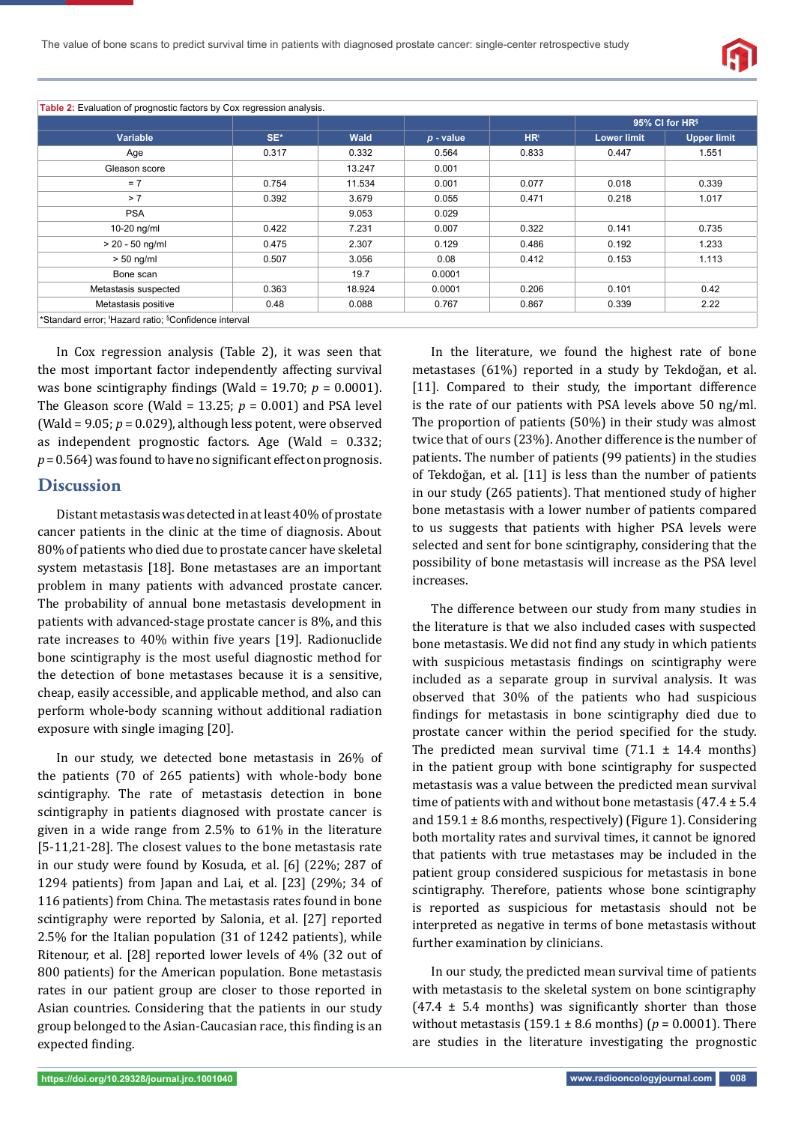

**Table 2:** Evaluation of prognostic factors by Cox regression analysis.

|                      | SE*   | Wald   | $p$ - value | HR <sup>t</sup> | 95% CI for HR <sup>§</sup> |                    |
|----------------------|-------|--------|-------------|-----------------|----------------------------|--------------------|
| <b>Variable</b>      |       |        |             |                 | <b>Lower limit</b>         | <b>Upper limit</b> |
| Age                  | 0.317 | 0.332  | 0.564       | 0.833           | 0.447                      | 1.551              |
| Gleason score        |       | 13.247 | 0.001       |                 |                            |                    |
| $= 7$                | 0.754 | 11.534 | 0.001       | 0.077           | 0.018                      | 0.339              |
| > 7                  | 0.392 | 3.679  | 0.055       | 0.471           | 0.218                      | 1.017              |
| <b>PSA</b>           |       | 9.053  | 0.029       |                 |                            |                    |
| 10-20 ng/ml          | 0.422 | 7.231  | 0.007       | 0.322           | 0.141                      | 0.735              |
| $> 20 - 50$ ng/ml    | 0.475 | 2.307  | 0.129       | 0.486           | 0.192                      | 1.233              |
| $> 50$ ng/ml         | 0.507 | 3.056  | 0.08        | 0.412           | 0.153                      | 1.113              |
| Bone scan            |       | 19.7   | 0.0001      |                 |                            |                    |
| Metastasis suspected | 0.363 | 18.924 | 0.0001      | 0.206           | 0.101                      | 0.42               |
| Metastasis positive  | 0.48  | 0.088  | 0.767       | 0.867           | 0.339                      | 2.22               |

In Cox regression analysis (Table 2), it was seen that the most important factor independently affecting survival was bone scintigraphy findings (Wald =  $19.70$ ;  $p = 0.0001$ ). The Gleason score (Wald =  $13.25$ ;  $p = 0.001$ ) and PSA level (Wald = 9.05; *p* = 0.029), although less potent, were observed as independent prognostic factors. Age (Wald = 0.332;  $p = 0.564$ ) was found to have no significant effect on prognosis.

#### **Discussion**

Distant metastasis was detected in at least 40% of prostate cancer patients in the clinic at the time of diagnosis. About 80% of patients who died due to prostate cancer have skeletal system metastasis [18]. Bone metastases are an important problem in many patients with advanced prostate cancer. The probability of annual bone metastasis development in patients with advanced-stage prostate cancer is 8%, and this rate increases to 40% within five years [19]. Radionuclide bone scintigraphy is the most useful diagnostic method for the detection of bone metastases because it is a sensitive, cheap, easily accessible, and applicable method, and also can perform whole-body scanning without additional radiation exposure with single imaging [20].

In our study, we detected bone metastasis in 26% of the patients (70 of 265 patients) with whole-body bone scintigraphy. The rate of metastasis detection in bone scintigraphy in patients diagnosed with prostate cancer is given in a wide range from 2.5% to 61% in the literature [5-11,21-28]. The closest values to the bone metastasis rate in our study were found by Kosuda, et al. [6] (22%; 287 of 1294 patients) from Japan and Lai, et al. [23] (29%; 34 of 116 patients) from China. The metastasis rates found in bone scintigraphy were reported by Salonia, et al. [27] reported 2.5% for the Italian population (31 of 1242 patients), while Ritenour, et al. [28] reported lower levels of 4% (32 out of 800 patients) for the American population. Bone metastasis rates in our patient group are closer to those reported in Asian countries. Considering that the patients in our study group belonged to the Asian-Caucasian race, this finding is an expected finding.

In the literature, we found the highest rate of bone metastases (61%) reported in a study by Tekdoğan, et al. [11]. Compared to their study, the important difference is the rate of our patients with PSA levels above 50 ng/ml. The proportion of patients (50%) in their study was almost twice that of ours (23%). Another difference is the number of patients. The number of patients (99 patients) in the studies of Tekdoğan, et al. [11] is less than the number of patients in our study (265 patients). That mentioned study of higher bone metastasis with a lower number of patients compared to us suggests that patients with higher PSA levels were selected and sent for bone scintigraphy, considering that the possibility of bone metastasis will increase as the PSA level increases.

The difference between our study from many studies in the literature is that we also included cases with suspected bone metastasis. We did not find any study in which patients with suspicious metastasis findings on scintigraphy were included as a separate group in survival analysis. It was observed that 30% of the patients who had suspicious findings for metastasis in bone scintigraphy died due to prostate cancer within the period specified for the study. The predicted mean survival time  $(71.1 \pm 14.4 \text{ months})$ in the patient group with bone scintigraphy for suspected metastasis was a value between the predicted mean survival time of patients with and without bone metastasis  $(47.4 \pm 5.4)$ and  $159.1 \pm 8.6$  months, respectively) (Figure 1). Considering both mortality rates and survival times, it cannot be ignored that patients with true metastases may be included in the patient group considered suspicious for metastasis in bone scintigraphy. Therefore, patients whose bone scintigraphy is reported as suspicious for metastasis should not be interpreted as negative in terms of bone metastasis without further examination by clinicians.

In our study, the predicted mean survival time of patients with metastasis to the skeletal system on bone scintigraphy  $(47.4 \pm 5.4 \text{ months})$  was significantly shorter than those without metastasis (159.1 ± 8.6 months) (*p* = 0.0001). There are studies in the literature investigating the prognostic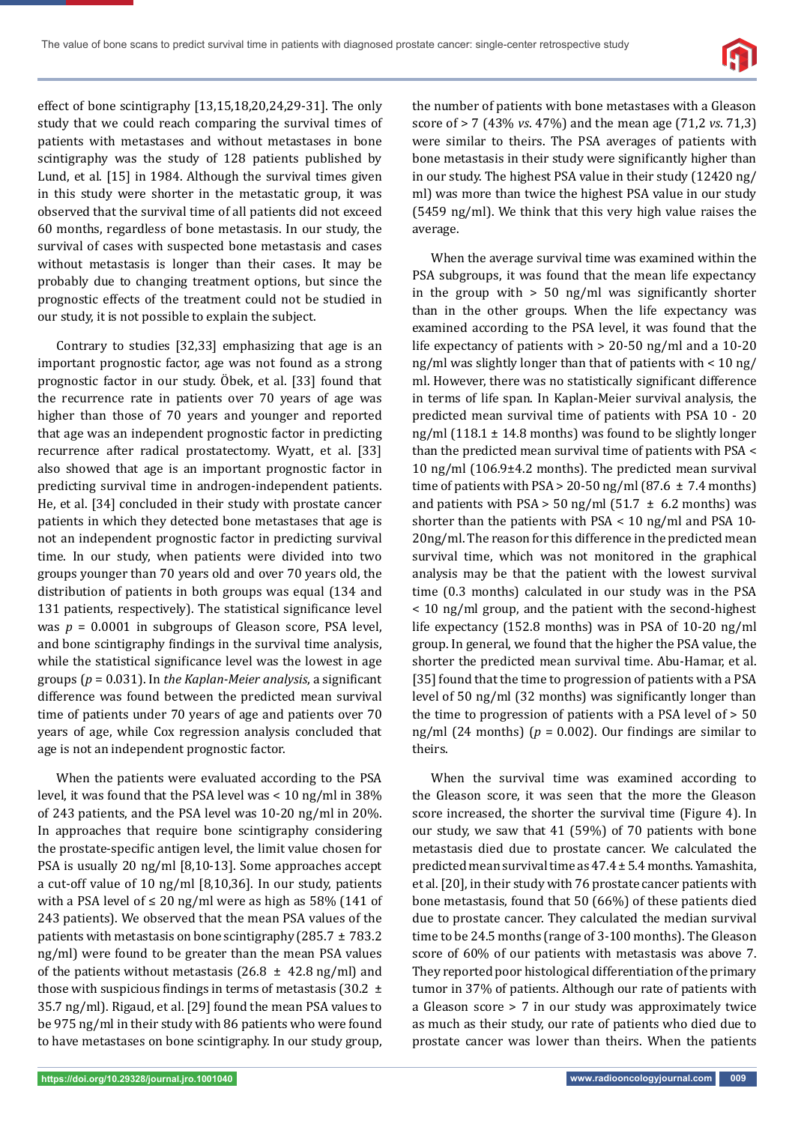

effect of bone scintigraphy [13,15,18,20,24,29-31]. The only study that we could reach comparing the survival times of patients with metastases and without metastases in bone scintigraphy was the study of 128 patients published by Lund, et al. [15] in 1984. Although the survival times given in this study were shorter in the metastatic group, it was observed that the survival time of all patients did not exceed 60 months, regardless of bone metastasis. In our study, the survival of cases with suspected bone metastasis and cases without metastasis is longer than their cases. It may be probably due to changing treatment options, but since the prognostic effects of the treatment could not be studied in our study, it is not possible to explain the subject.

Contrary to studies [32,33] emphasizing that age is an important prognostic factor, age was not found as a strong prognostic factor in our study. Öbek, et al. [33] found that the recurrence rate in patients over 70 years of age was higher than those of 70 years and younger and reported that age was an independent prognostic factor in predicting recurrence after radical prostatectomy. Wyatt, et al. [33] also showed that age is an important prognostic factor in predicting survival time in androgen-independent patients. He, et al. [34] concluded in their study with prostate cancer patients in which they detected bone metastases that age is not an independent prognostic factor in predicting survival time. In our study, when patients were divided into two groups younger than 70 years old and over 70 years old, the distribution of patients in both groups was equal (134 and 131 patients, respectively). The statistical significance level was *p* = 0.0001 in subgroups of Gleason score, PSA level, and bone scintigraphy findings in the survival time analysis, while the statistical significance level was the lowest in age groups ( $p = 0.031$ ). In the Kaplan-Meier analysis, a significant difference was found between the predicted mean survival time of patients under 70 years of age and patients over 70 years of age, while Cox regression analysis concluded that age is not an independent prognostic factor.

When the patients were evaluated according to the PSA level, it was found that the PSA level was < 10 ng/ml in 38% of 243 patients, and the PSA level was 10-20 ng/ml in 20%. In approaches that require bone scintigraphy considering the prostate-specific antigen level, the limit value chosen for PSA is usually 20 ng/ml [8,10-13]. Some approaches accept a cut-off value of 10 ng/ml [8,10,36]. In our study, patients with a PSA level of  $\leq 20$  ng/ml were as high as 58% (141 of 243 patients). We observed that the mean PSA values of the patients with metastasis on bone scintigraphy (285.7  $\pm$  783.2 ng/ml) were found to be greater than the mean PSA values of the patients without metastasis (26.8  $\pm$  42.8 ng/ml) and those with suspicious findings in terms of metastasis (30.2  $\pm$ 35.7 ng/ml). Rigaud, et al. [29] found the mean PSA values to be 975 ng/ml in their study with 86 patients who were found to have metastases on bone scintigraphy. In our study group,

the number of patients with bone metastases with a Gleason score of > 7 (43% *vs*. 47%) and the mean age (71,2 *vs*. 71,3) were similar to theirs. The PSA averages of patients with bone metastasis in their study were significantly higher than in our study. The highest PSA value in their study (12420 ng/ ml) was more than twice the highest PSA value in our study (5459 ng/ml). We think that this very high value raises the average.

When the average survival time was examined within the PSA subgroups, it was found that the mean life expectancy in the group with  $> 50$  ng/ml was significantly shorter than in the other groups. When the life expectancy was examined according to the PSA level, it was found that the life expectancy of patients with > 20-50 ng/ml and a 10-20 ng/ml was slightly longer than that of patients with < 10 ng/ ml. However, there was no statistically significant difference in terms of life span. In Kaplan-Meier survival analysis, the predicted mean survival time of patients with PSA 10 - 20 ng/ml  $(118.1 \pm 14.8 \text{ months})$  was found to be slightly longer than the predicted mean survival time of patients with PSA < 10 ng/ml (106.9±4.2 months). The predicted mean survival time of patients with PSA  $>$  20-50 ng/ml (87.6  $\pm$  7.4 months) and patients with PSA > 50 ng/ml (51.7  $\pm$  6.2 months) was shorter than the patients with PSA < 10 ng/ml and PSA 10- 20ng/ml. The reason for this difference in the predicted mean survival time, which was not monitored in the graphical analysis may be that the patient with the lowest survival time (0.3 months) calculated in our study was in the PSA < 10 ng/ml group, and the patient with the second-highest life expectancy (152.8 months) was in PSA of 10-20 ng/ml group. In general, we found that the higher the PSA value, the shorter the predicted mean survival time. Abu-Hamar, et al. [35] found that the time to progression of patients with a PSA level of 50 ng/ml  $(32 \text{ months})$  was significantly longer than the time to progression of patients with a PSA level of > 50 ng/ml (24 months) ( $p = 0.002$ ). Our findings are similar to theirs.

When the survival time was examined according to the Gleason score, it was seen that the more the Gleason score increased, the shorter the survival time (Figure 4). In our study, we saw that 41 (59%) of 70 patients with bone metastasis died due to prostate cancer. We calculated the predicted mean survival time as 47.4 ± 5.4 months. Yamashita, et al. [20], in their study with 76 prostate cancer patients with bone metastasis, found that 50 (66%) of these patients died due to prostate cancer. They calculated the median survival time to be 24.5 months (range of 3-100 months). The Gleason score of 60% of our patients with metastasis was above 7. They reported poor histological differentiation of the primary tumor in 37% of patients. Although our rate of patients with a Gleason score > 7 in our study was approximately twice as much as their study, our rate of patients who died due to prostate cancer was lower than theirs. When the patients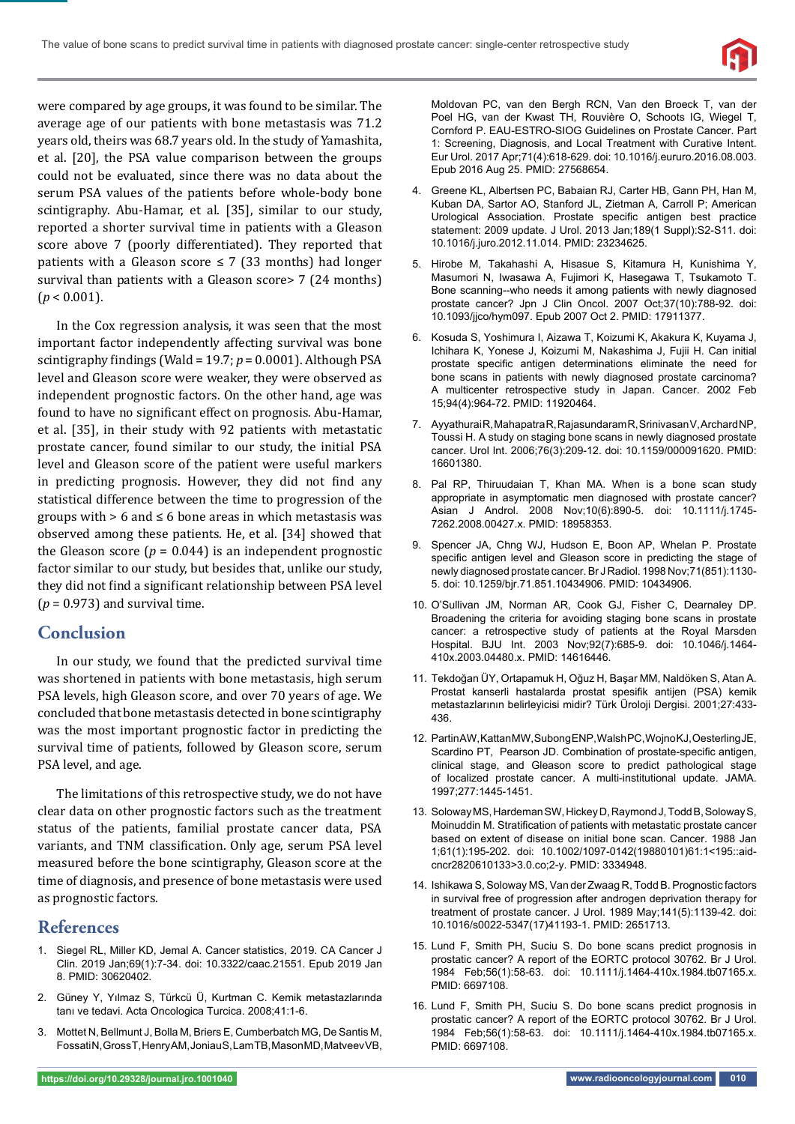

were compared by age groups, it was found to be similar. The average age of our patients with bone metastasis was 71.2 years old, theirs was 68.7 years old. In the study of Yamashita, et al. [20], the PSA value comparison between the groups could not be evaluated, since there was no data about the serum PSA values of the patients before whole-body bone scintigraphy. Abu-Hamar, et al. [35], similar to our study, reported a shorter survival time in patients with a Gleason score above 7 (poorly differentiated). They reported that patients with a Gleason score  $\leq 7$  (33 months) had longer survival than patients with a Gleason score > 7 (24 months)  $(p < 0.001)$ .

In the Cox regression analysis, it was seen that the most important factor independently affecting survival was bone scintigraphy findings (Wald = 19.7; *p* = 0.0001). Although PSA level and Gleason score were weaker, they were observed as independent prognostic factors. On the other hand, age was found to have no significant effect on prognosis. Abu-Hamar, et al. [35], in their study with 92 patients with metastatic prostate cancer, found similar to our study, the initial PSA level and Gleason score of the patient were useful markers in predicting prognosis. However, they did not find any statistical difference between the time to progression of the groups with  $> 6$  and  $\leq 6$  bone areas in which metastasis was observed among these patients. He, et al. [34] showed that the Gleason score  $(p = 0.044)$  is an independent prognostic factor similar to our study, but besides that, unlike our study, they did not find a significant relationship between PSA level  $(p = 0.973)$  and survival time.

## **Conclusion**

In our study, we found that the predicted survival time was shortened in patients with bone metastasis, high serum PSA levels, high Gleason score, and over 70 years of age. We concluded that bone metastasis detected in bone scintigraphy was the most important prognostic factor in predicting the survival time of patients, followed by Gleason score, serum PSA level, and age.

The limitations of this retrospective study, we do not have clear data on other prognostic factors such as the treatment status of the patients, familial prostate cancer data, PSA variants, and TNM classification. Only age, serum PSA level measured before the bone scintigraphy, Gleason score at the time of diagnosis, and presence of bone metastasis were used as prognostic factors.

#### **References**

- 1. Siegel RL, Miller KD, Jemal A. Cancer statistics, 2019. CA Cancer J Clin. 2019 Jan;69(1):7-34. doi: 10.3322/caac.21551. Epub 2019 Jan 8. PMID: 30620402.
- 2. Güney Y, Yılmaz S, Türkcü Ü, Kurtman C. Kemik metastazlarında tanı ve tedavi. Acta Oncologica Turcica. 2008;41:1-6.
- 3. Mottet N, Bellmunt J, Bolla M, Briers E, Cumberbatch MG, De Santis M, Fossati N, Gross T, Henry AM, Joniau S, Lam TB, Mason MD, Matveev VB,

Moldovan PC, van den Bergh RCN, Van den Broeck T, van der Poel HG, van der Kwast TH, Rouvière O, Schoots IG, Wiegel T, Cornford P. EAU-ESTRO-SIOG Guidelines on Prostate Cancer. Part 1: Screening, Diagnosis, and Local Treatment with Curative Intent. Eur Urol. 2017 Apr;71(4):618-629. doi: 10.1016/j.eururo.2016.08.003. Epub 2016 Aug 25. PMID: 27568654.

- 4. Greene KL, Albertsen PC, Babaian RJ, Carter HB, Gann PH, Han M, Kuban DA, Sartor AO, Stanford JL, Zietman A, Carroll P; American Urological Association. Prostate specific antigen best practice statement: 2009 update. J Urol. 2013 Jan;189(1 Suppl):S2-S11. doi: 10.1016/j.juro.2012.11.014. PMID: 23234625.
- 5. Hirobe M, Takahashi A, Hisasue S, Kitamura H, Kunishima Y, Masumori N, Iwasawa A, Fujimori K, Hasegawa T, Tsukamoto T. Bone scanning--who needs it among patients with newly diagnosed prostate cancer? Jpn J Clin Oncol. 2007 Oct;37(10):788-92. doi: 10.1093/jjco/hym097. Epub 2007 Oct 2. PMID: 17911377.
- 6. Kosuda S, Yoshimura I, Aizawa T, Koizumi K, Akakura K, Kuyama J, Ichihara K, Yonese J, Koizumi M, Nakashima J, Fujii H. Can initial prostate specific antigen determinations eliminate the need for bone scans in patients with newly diagnosed prostate carcinoma? A multicenter retrospective study in Japan. Cancer. 2002 Feb 15;94(4):964-72. PMID: 11920464.
- 7. Ayyathurai R, Mahapatra R, Rajasundaram R, Srinivasan V, Archard NP, Toussi H. A study on staging bone scans in newly diagnosed prostate cancer. Urol Int. 2006;76(3):209-12. doi: 10.1159/000091620. PMID: 16601380.
- 8. Pal RP, Thiruudaian T, Khan MA. When is a bone scan study appropriate in asymptomatic men diagnosed with prostate cancer? Asian J Androl. 2008 Nov;10(6):890-5. doi: 10.1111/j.1745- 7262.2008.00427.x. PMID: 18958353.
- 9. Spencer JA, Chng WJ, Hudson E, Boon AP, Whelan P. Prostate specific antigen level and Gleason score in predicting the stage of newly diagnosed prostate cancer. Br J Radiol. 1998 Nov;71(851):1130- 5. doi: 10.1259/bjr.71.851.10434906. PMID: 10434906.
- 10. O'Sullivan JM, Norman AR, Cook GJ, Fisher C, Dearnaley DP. Broadening the criteria for avoiding staging bone scans in prostate cancer: a retrospective study of patients at the Royal Marsden Hospital. BJU Int. 2003 Nov;92(7):685-9. doi: 10.1046/j.1464- 410x.2003.04480.x. PMID: 14616446.
- 11. Tekdoğan ÜY, Ortapamuk H, Oğuz H, Başar MM, Naldöken S, Atan A. Prostat kanserli hastalarda prostat spesifik antijen (PSA) kemik metastazlarının belirleyicisi midir? Türk Üroloji Dergisi. 2001;27:433- 436.
- 12. Partin AW, Kattan MW, Subong ENP, Walsh PC, Wojno KJ, Oesterling JE, Scardino PT, Pearson JD. Combination of prostate-specific antigen, clinical stage, and Gleason score to predict pathological stage of localized prostate cancer. A multi-institutional update. JAMA. 1997;277:1445-1451.
- 13. Soloway MS, Hardeman SW, Hickey D, Raymond J, Todd B, Soloway S, Moinuddin M. Stratification of patients with metastatic prostate cancer based on extent of disease on initial bone scan. Cancer. 1988 Jan 1;61(1):195-202. doi: 10.1002/1097-0142(19880101)61:1<195::aidcncr2820610133>3.0.co;2-y. PMID: 3334948.
- 14. Ishikawa S, Soloway MS, Van der Zwaag R, Todd B. Prognostic factors in survival free of progression after androgen deprivation therapy for treatment of prostate cancer. J Urol. 1989 May;141(5):1139-42. doi: 10.1016/s0022-5347(17)41193-1. PMID: 2651713.
- 15. Lund F, Smith PH, Suciu S. Do bone scans predict prognosis in prostatic cancer? A report of the EORTC protocol 30762. Br J Urol. 1984 Feb;56(1):58-63. doi: 10.1111/j.1464-410x.1984.tb07165.x. PMID: 6697108.
- 16. Lund F, Smith PH, Suciu S. Do bone scans predict prognosis in prostatic cancer? A report of the EORTC protocol 30762. Br J Urol. 1984 Feb;56(1):58-63. doi: 10.1111/j.1464-410x.1984.tb07165.x. PMID: 6697108.